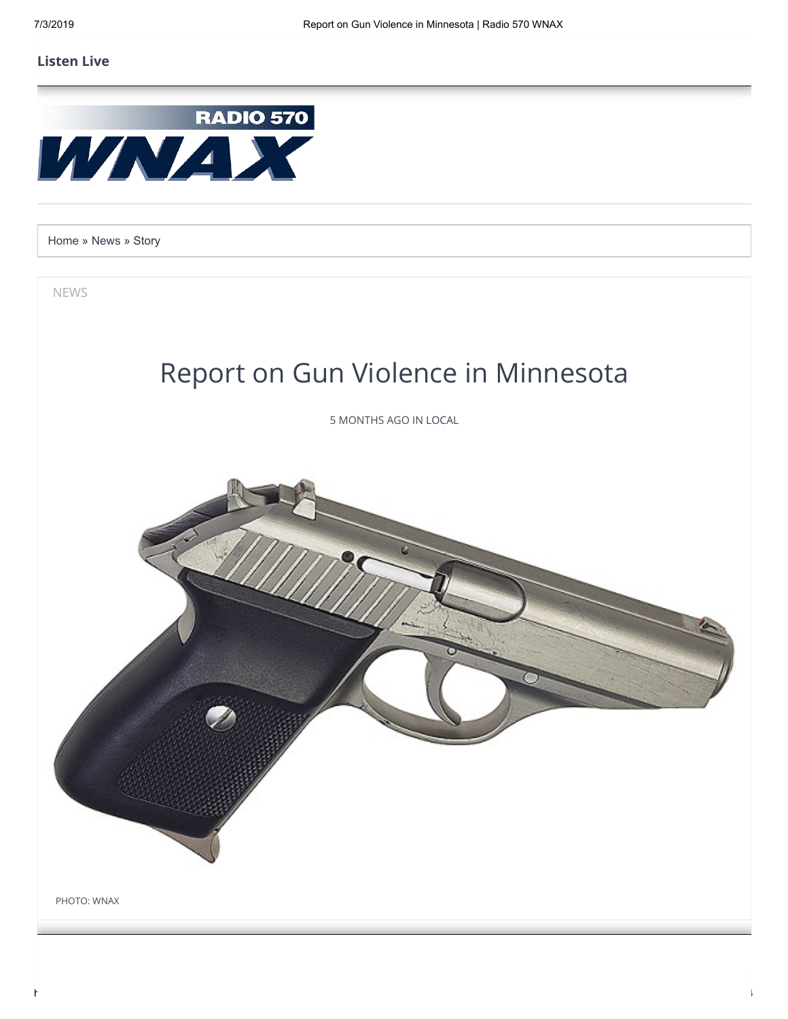## **[Listen Live](javascript:void(window.open()**



[Home](https://wnax.com/) » [News](https://wnax.com/news) » Story

NEWS



5 MONTHS AGO IN [LOCAL](https://wnax.com/news/sections/local)

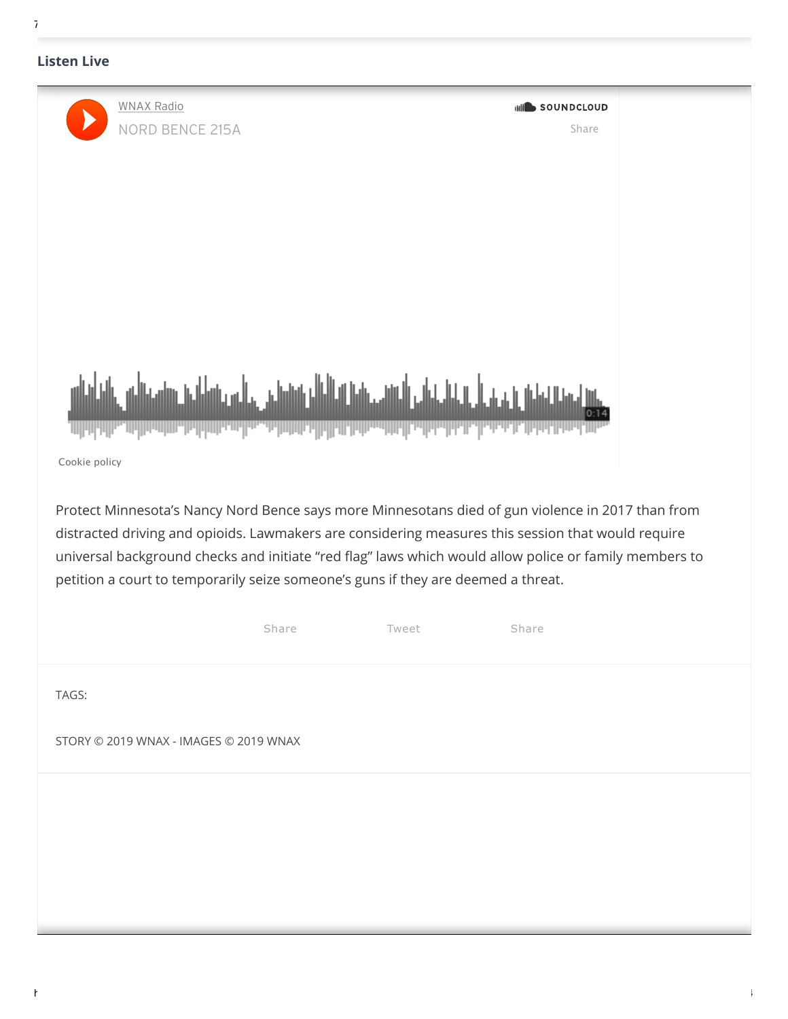## $7/3$

## **[Listen Live](javascript:void(window.open()**

| <b>WNAX Radio</b><br><b>NORD BENCE 215A</b>                                                                                                                                                                                                                                                                                                                                                            |       |                              | <b>MILL</b> SOUNDCLOUD<br>Share |  |  |
|--------------------------------------------------------------------------------------------------------------------------------------------------------------------------------------------------------------------------------------------------------------------------------------------------------------------------------------------------------------------------------------------------------|-------|------------------------------|---------------------------------|--|--|
|                                                                                                                                                                                                                                                                                                                                                                                                        |       |                              |                                 |  |  |
|                                                                                                                                                                                                                                                                                                                                                                                                        |       |                              |                                 |  |  |
|                                                                                                                                                                                                                                                                                                                                                                                                        |       |                              |                                 |  |  |
|                                                                                                                                                                                                                                                                                                                                                                                                        |       | العالماناس الناقسين فالعاملة |                                 |  |  |
| Cookie policy                                                                                                                                                                                                                                                                                                                                                                                          |       |                              |                                 |  |  |
| Protect Minnesota's Nancy Nord Bence says more Minnesotans died of gun violence in 2017 than from<br>distracted driving and opioids. Lawmakers are considering measures this session that would require<br>universal background checks and initiate "red flag" laws which would allow police or family members to<br>petition a court to temporarily seize someone's guns if they are deemed a threat. |       |                              |                                 |  |  |
|                                                                                                                                                                                                                                                                                                                                                                                                        | Share | Tweet                        | Share                           |  |  |
| TAGS:                                                                                                                                                                                                                                                                                                                                                                                                  |       |                              |                                 |  |  |
| STORY © 2019 WNAX - IMAGES © 2019 WNAX                                                                                                                                                                                                                                                                                                                                                                 |       |                              |                                 |  |  |
|                                                                                                                                                                                                                                                                                                                                                                                                        |       |                              |                                 |  |  |
|                                                                                                                                                                                                                                                                                                                                                                                                        |       |                              |                                 |  |  |
|                                                                                                                                                                                                                                                                                                                                                                                                        |       |                              |                                 |  |  |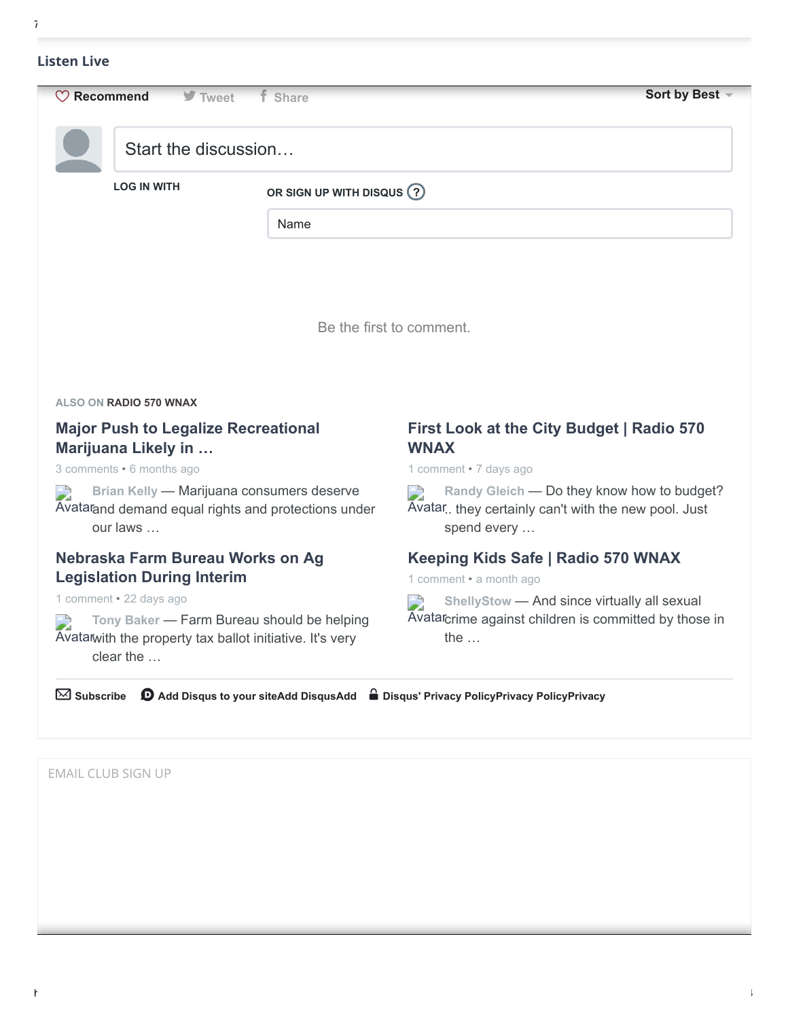|                          | $\heartsuit$ Recommend<br><b>▼</b> Tweet         | <b>f</b> Share                                                                                   | Sort by Best -                                                                                      |
|--------------------------|--------------------------------------------------|--------------------------------------------------------------------------------------------------|-----------------------------------------------------------------------------------------------------|
|                          | Start the discussion                             |                                                                                                  |                                                                                                     |
|                          | <b>LOG IN WITH</b>                               | OR SIGN UP WITH DISQUS (?)                                                                       |                                                                                                     |
|                          |                                                  | Name                                                                                             |                                                                                                     |
|                          |                                                  |                                                                                                  |                                                                                                     |
|                          |                                                  |                                                                                                  |                                                                                                     |
|                          |                                                  |                                                                                                  |                                                                                                     |
|                          |                                                  |                                                                                                  | Be the first to comment.                                                                            |
|                          |                                                  |                                                                                                  |                                                                                                     |
|                          |                                                  |                                                                                                  |                                                                                                     |
|                          |                                                  |                                                                                                  |                                                                                                     |
|                          | ALSO ON RADIO 570 WNAX                           |                                                                                                  |                                                                                                     |
|                          | <b>Major Push to Legalize Recreational</b>       |                                                                                                  | First Look at the City Budget   Radio 570                                                           |
|                          | Marijuana Likely in<br>3 comments • 6 months ago |                                                                                                  | <b>WNAX</b><br>1 comment . 7 days ago                                                               |
| D                        | our laws                                         | Brian Kelly - Marijuana consumers deserve<br>Avatarand demand equal rights and protections under | D<br>Avatar they certainly can't with the new pool. Just<br>spend every                             |
|                          | Nebraska Farm Bureau Works on Ag                 |                                                                                                  | Keeping Kids Safe   Radio 570 WNAX                                                                  |
|                          | <b>Legislation During Interim</b>                |                                                                                                  | 1 comment • a month ago                                                                             |
|                          | 1 comment . 22 days ago                          |                                                                                                  | ShellyStow - And since virtually all sexual                                                         |
| $\overline{\phantom{a}}$ |                                                  | Tony Baker - Farm Bureau should be helping                                                       | Randy Gleich - Do they know how to budget?<br>Avatarcrime against children is committed by those in |
|                          | clear the                                        | Avatatwith the property tax ballot initiative. It's very                                         | the $\dots$                                                                                         |
|                          |                                                  |                                                                                                  |                                                                                                     |
| $\boxtimes$ Subscribe    |                                                  |                                                                                                  | <b>①</b> Add Disqus to your siteAdd DisqusAdd △ Disqus' Privacy PolicyPrivacy PolicyPrivacy         |

 $7/3$ 

EMAIL CLUB SIGN UP